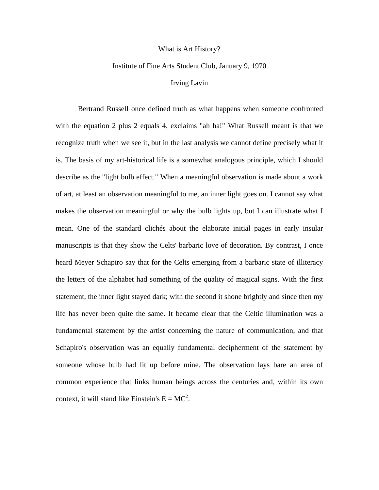## What is Art History?

## Institute of Fine Arts Student Club, January 9, 1970

## Irving Lavin

Bertrand Russell once defined truth as what happens when someone confronted with the equation 2 plus 2 equals 4, exclaims "ah ha!" What Russell meant is that we recognize truth when we see it, but in the last analysis we cannot define precisely what it is. The basis of my art-historical life is a somewhat analogous principle, which I should describe as the "light bulb effect." When a meaningful observation is made about a work of art, at least an observation meaningful to me, an inner light goes on. I cannot say what makes the observation meaningful or why the bulb lights up, but I can illustrate what I mean. One of the standard clichés about the elaborate initial pages in early insular manuscripts is that they show the Celts' barbaric love of decoration. By contrast, I once heard Meyer Schapiro say that for the Celts emerging from a barbaric state of illiteracy the letters of the alphabet had something of the quality of magical signs. With the first statement, the inner light stayed dark; with the second it shone brightly and since then my life has never been quite the same. It became clear that the Celtic illumination was a fundamental statement by the artist concerning the nature of communication, and that Schapiro's observation was an equally fundamental decipherment of the statement by someone whose bulb had lit up before mine. The observation lays bare an area of common experience that links human beings across the centuries and, within its own context, it will stand like Einstein's  $E = MC^2$ .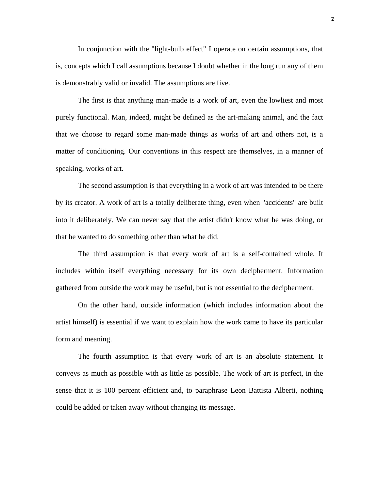In conjunction with the "light-bulb effect" I operate on certain assumptions, that is, concepts which I call assumptions because I doubt whether in the long run any of them is demonstrably valid or invalid. The assumptions are five.

The first is that anything man-made is a work of art, even the lowliest and most purely functional. Man, indeed, might be defined as the art-making animal, and the fact that we choose to regard some man-made things as works of art and others not, is a matter of conditioning. Our conventions in this respect are themselves, in a manner of speaking, works of art.

The second assumption is that everything in a work of art was intended to be there by its creator. A work of art is a totally deliberate thing, even when "accidents" are built into it deliberately. We can never say that the artist didn't know what he was doing, or that he wanted to do something other than what he did.

The third assumption is that every work of art is a self-contained whole. It includes within itself everything necessary for its own decipherment. Information gathered from outside the work may be useful, but is not essential to the decipherment.

On the other hand, outside information (which includes information about the artist himself) is essential if we want to explain how the work came to have its particular form and meaning.

The fourth assumption is that every work of art is an absolute statement. It conveys as much as possible with as little as possible. The work of art is perfect, in the sense that it is 100 percent efficient and, to paraphrase Leon Battista Alberti, nothing could be added or taken away without changing its message.